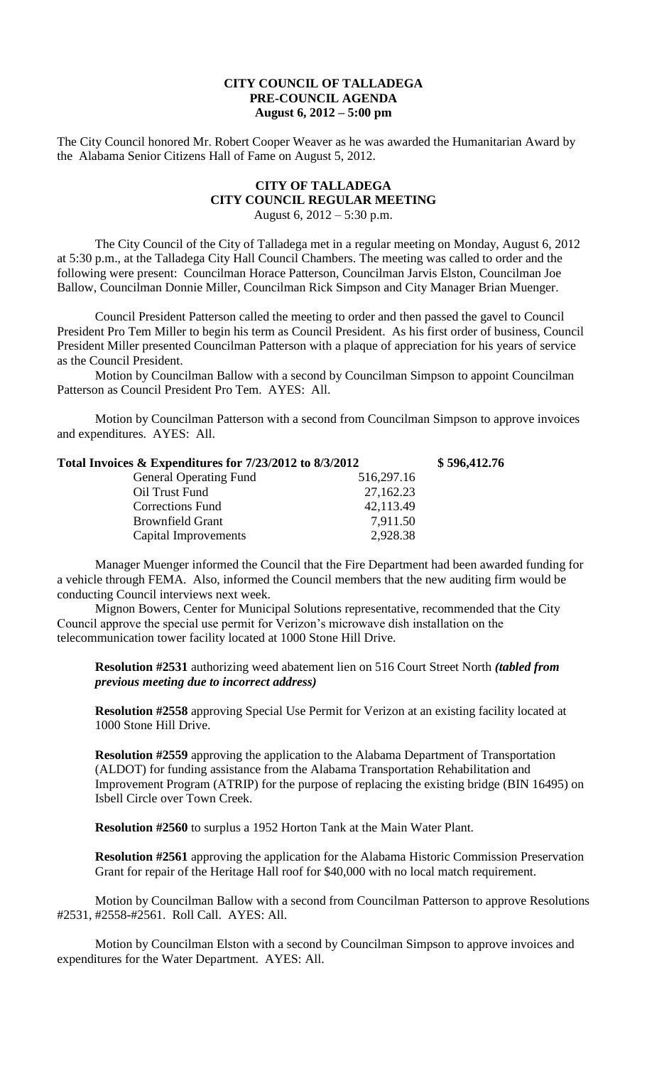## **CITY COUNCIL OF TALLADEGA PRE-COUNCIL AGENDA August 6, 2012 – 5:00 pm**

The City Council honored Mr. Robert Cooper Weaver as he was awarded the Humanitarian Award by the Alabama Senior Citizens Hall of Fame on August 5, 2012.

## **CITY OF TALLADEGA CITY COUNCIL REGULAR MEETING** August 6, 2012 – 5:30 p.m.

The City Council of the City of Talladega met in a regular meeting on Monday, August 6, 2012 at 5:30 p.m., at the Talladega City Hall Council Chambers. The meeting was called to order and the following were present: Councilman Horace Patterson, Councilman Jarvis Elston, Councilman Joe Ballow, Councilman Donnie Miller, Councilman Rick Simpson and City Manager Brian Muenger.

Council President Patterson called the meeting to order and then passed the gavel to Council President Pro Tem Miller to begin his term as Council President. As his first order of business, Council President Miller presented Councilman Patterson with a plaque of appreciation for his years of service as the Council President.

Motion by Councilman Ballow with a second by Councilman Simpson to appoint Councilman Patterson as Council President Pro Tem. AYES: All.

Motion by Councilman Patterson with a second from Councilman Simpson to approve invoices and expenditures. AYES: All.

| Total Invoices & Expenditures for 7/23/2012 to 8/3/2012 |            | \$596,412.76 |
|---------------------------------------------------------|------------|--------------|
| <b>General Operating Fund</b>                           | 516,297.16 |              |
| Oil Trust Fund                                          | 27,162.23  |              |
| <b>Corrections Fund</b>                                 | 42,113.49  |              |
| <b>Brownfield Grant</b>                                 | 7,911.50   |              |
| Capital Improvements                                    | 2,928.38   |              |

Manager Muenger informed the Council that the Fire Department had been awarded funding for a vehicle through FEMA. Also, informed the Council members that the new auditing firm would be conducting Council interviews next week.

Mignon Bowers, Center for Municipal Solutions representative, recommended that the City Council approve the special use permit for Verizon's microwave dish installation on the telecommunication tower facility located at 1000 Stone Hill Drive.

**Resolution #2531** authorizing weed abatement lien on 516 Court Street North *(tabled from previous meeting due to incorrect address)*

**Resolution #2558** approving Special Use Permit for Verizon at an existing facility located at 1000 Stone Hill Drive.

**Resolution #2559** approving the application to the Alabama Department of Transportation (ALDOT) for funding assistance from the Alabama Transportation Rehabilitation and Improvement Program (ATRIP) for the purpose of replacing the existing bridge (BIN 16495) on Isbell Circle over Town Creek.

**Resolution #2560** to surplus a 1952 Horton Tank at the Main Water Plant.

**Resolution #2561** approving the application for the Alabama Historic Commission Preservation Grant for repair of the Heritage Hall roof for \$40,000 with no local match requirement.

Motion by Councilman Ballow with a second from Councilman Patterson to approve Resolutions #2531, #2558-#2561. Roll Call. AYES: All.

Motion by Councilman Elston with a second by Councilman Simpson to approve invoices and expenditures for the Water Department. AYES: All.